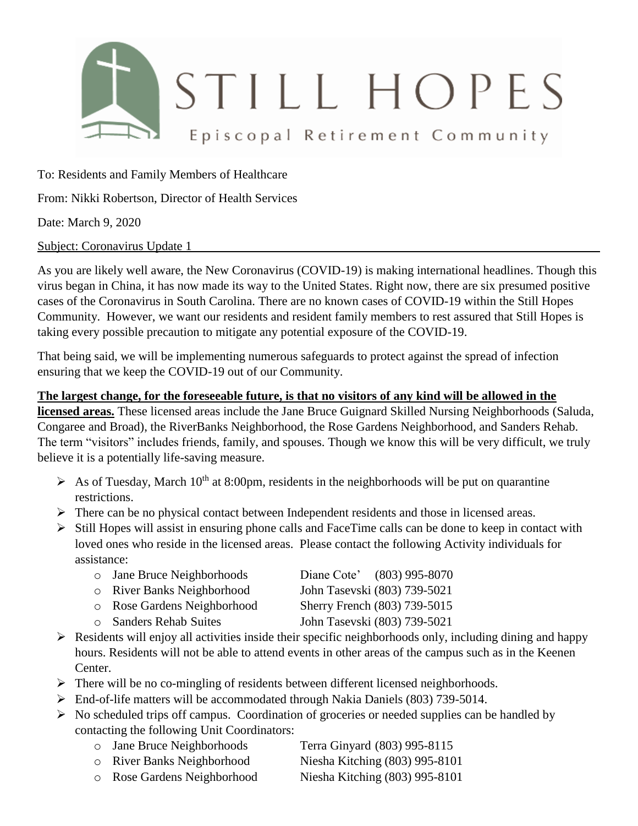

To: Residents and Family Members of Healthcare

From: Nikki Robertson, Director of Health Services

Date: March 9, 2020

Subject: Coronavirus Update 1

As you are likely well aware, the New Coronavirus (COVID-19) is making international headlines. Though this virus began in China, it has now made its way to the United States. Right now, there are six presumed positive cases of the Coronavirus in South Carolina. There are no known cases of COVID-19 within the Still Hopes Community. However, we want our residents and resident family members to rest assured that Still Hopes is taking every possible precaution to mitigate any potential exposure of the COVID-19.

That being said, we will be implementing numerous safeguards to protect against the spread of infection ensuring that we keep the COVID-19 out of our Community.

#### **The largest change, for the foreseeable future, is that no visitors of any kind will be allowed in the**

**licensed areas.** These licensed areas include the Jane Bruce Guignard Skilled Nursing Neighborhoods (Saluda, Congaree and Broad), the RiverBanks Neighborhood, the Rose Gardens Neighborhood, and Sanders Rehab. The term "visitors" includes friends, family, and spouses. Though we know this will be very difficult, we truly believe it is a potentially life-saving measure.

- $\triangleright$  As of Tuesday, March 10<sup>th</sup> at 8:00pm, residents in the neighborhoods will be put on quarantine restrictions.
- $\triangleright$  There can be no physical contact between Independent residents and those in licensed areas.
- $\triangleright$  Still Hopes will assist in ensuring phone calls and FaceTime calls can be done to keep in contact with loved ones who reside in the licensed areas. Please contact the following Activity individuals for assistance:

| o Jane Bruce Neighborhoods  | Diane Cote' (803) 995-8070   |
|-----------------------------|------------------------------|
| o River Banks Neighborhood  | John Tasevski (803) 739-5021 |
| o Rose Gardens Neighborhood | Sherry French (803) 739-5015 |

- 
- o Sanders Rehab Suites John Tasevski (803) 739-5021
- $\triangleright$  Residents will enjoy all activities inside their specific neighborhoods only, including dining and happy hours. Residents will not be able to attend events in other areas of the campus such as in the Keenen Center.
- $\triangleright$  There will be no co-mingling of residents between different licensed neighborhoods.
- End-of-life matters will be accommodated through Nakia Daniels (803) 739-5014.
- $\triangleright$  No scheduled trips off campus. Coordination of groceries or needed supplies can be handled by contacting the following Unit Coordinators:
	- o Jane Bruce Neighborhoods Terra Ginyard (803) 995-8115
	- o River Banks Neighborhood Niesha Kitching (803) 995-8101
	- o Rose Gardens Neighborhood Niesha Kitching (803) 995-8101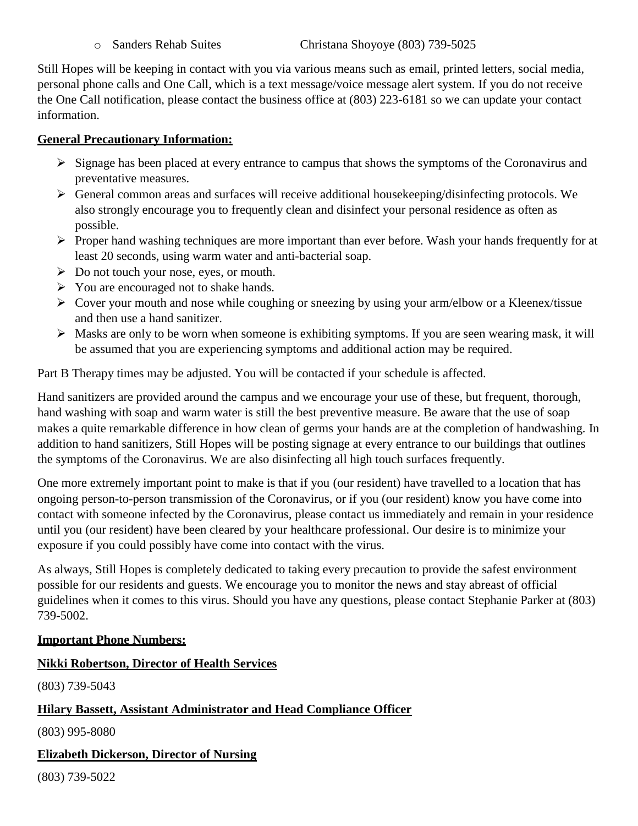Still Hopes will be keeping in contact with you via various means such as email, printed letters, social media, personal phone calls and One Call, which is a text message/voice message alert system. If you do not receive the One Call notification, please contact the business office at (803) 223-6181 so we can update your contact information.

## **General Precautionary Information:**

- $\triangleright$  Signage has been placed at every entrance to campus that shows the symptoms of the Coronavirus and preventative measures.
- $\triangleright$  General common areas and surfaces will receive additional house keeping/disinfecting protocols. We also strongly encourage you to frequently clean and disinfect your personal residence as often as possible.
- $\triangleright$  Proper hand washing techniques are more important than ever before. Wash your hands frequently for at least 20 seconds, using warm water and anti-bacterial soap.
- $\triangleright$  Do not touch your nose, eyes, or mouth.
- $\triangleright$  You are encouraged not to shake hands.
- $\triangleright$  Cover your mouth and nose while coughing or sneezing by using your arm/elbow or a Kleenex/tissue and then use a hand sanitizer.
- Masks are only to be worn when someone is exhibiting symptoms. If you are seen wearing mask, it will be assumed that you are experiencing symptoms and additional action may be required.

Part B Therapy times may be adjusted. You will be contacted if your schedule is affected.

Hand sanitizers are provided around the campus and we encourage your use of these, but frequent, thorough, hand washing with soap and warm water is still the best preventive measure. Be aware that the use of soap makes a quite remarkable difference in how clean of germs your hands are at the completion of handwashing. In addition to hand sanitizers, Still Hopes will be posting signage at every entrance to our buildings that outlines the symptoms of the Coronavirus. We are also disinfecting all high touch surfaces frequently.

One more extremely important point to make is that if you (our resident) have travelled to a location that has ongoing person-to-person transmission of the Coronavirus, or if you (our resident) know you have come into contact with someone infected by the Coronavirus, please contact us immediately and remain in your residence until you (our resident) have been cleared by your healthcare professional. Our desire is to minimize your exposure if you could possibly have come into contact with the virus.

As always, Still Hopes is completely dedicated to taking every precaution to provide the safest environment possible for our residents and guests. We encourage you to monitor the news and stay abreast of official guidelines when it comes to this virus. Should you have any questions, please contact Stephanie Parker at (803) 739-5002.

## **Important Phone Numbers:**

## **Nikki Robertson, Director of Health Services**

(803) 739-5043

# **Hilary Bassett, Assistant Administrator and Head Compliance Officer**

(803) 995-8080

## **Elizabeth Dickerson, Director of Nursing**

(803) 739-5022